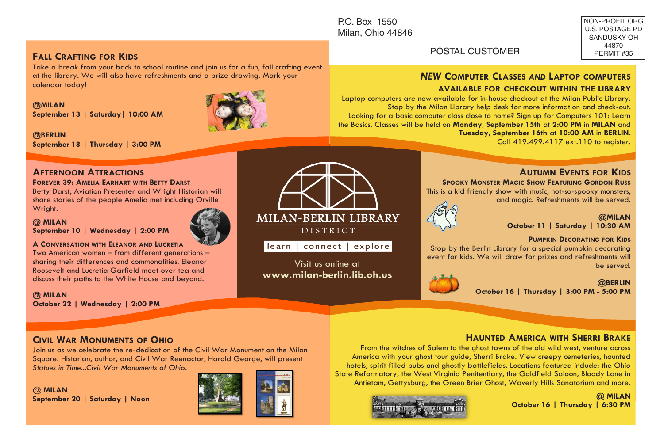P.O. Box 1550 Milan, Ohio 44846

Visit us online at **www.milan-berlin.lib.oh.us** 

MILAN-BERLIN LIBRARY **DISTRICT** learn | connect | explore

#### NON-PROFIT ORG U.S. POSTAGE PD SANDUSKY OH 44870 PERMIT #35

# **FALL CRAFTING FOR KIDS**

Take a break from your back to school routine and join us for a fun, fall crafting event at the library. We will also have refreshments and a prize drawing. Mark your calendar today!

**@MILAN September 13 | Saturday| 10:00 AM**



**@BERLIN September 18 | Thursday | 3:00 PM**

# **AFTERNOON ATTRACTIONS**

#### **FOREVER 39: AMELIA EARHART WITH BETTY DARST**

Betty Darst, Aviation Presenter and Wright Historian will share stories of the people Amelia met including Orville Wright.

#### **@ MILAN September 10 | Wednesday | 2:00 PM**



# **A CONVERSATION WITH ELEANOR AND LUCRETIA**

Two American women – from different generations – sharing their differences and commonalities. Eleanor Roosevelt and Lucretia Garfield meet over tea and discuss their paths to the White House and beyond.

### **@ MILAN October 22 | Wednesday | 2:00 PM**

# **CIVIL WAR MONUMENTS OF OHIO**

Join us as we celebrate the re-dedication of the Civil War Monument on the Milan Square. Historian, author, and Civil War Reenactor, Harold George, will present *Statues in Time...Civil War Monuments of Ohio*.

@ **MILAN September 20 | Saturday | Noon**



# POSTAL CUSTOMER

## *NEW* **COMPUTER CLASSES** *AND* **LAPTOP COMPUTERS AVAILABLE FOR CHECKOUT WITHIN THE LIBRARY**

Laptop computers are now available for in-house checkout at the Milan Public Library. Stop by the Milan Library help desk for more information and check-out. Looking for a basic computer class close to home? Sign up for Computers 101: Learn the Basics. Classes will be held on **Monday, September 15th** at **2:00 PM** in **MILAN** and **Tuesday, September 16th** at **10:00 AM** in **BERLIN**.

Call 419.499.4117 ext.110 to register.

# **AUTUMN EVENTS FOR KIDS**

 **SPOOKY MONSTER MAGIC SHOW FEATURING GORDON RUSS**  This is a kid friendly show with music, not-so-spooky monsters,

and magic. Refreshments will be served.



#### **@MILAN**

**October 11 | Saturday | 10:30 AM** 

#### **PUMPKIN DECORATING FOR KIDS**

Stop by the Berlin Library for a special pumpkin decorating event for kids. We will draw for prizes and refreshments will be served.



#### **@BERLIN October 16 | Thursday | 3:00 PM - 5:00 PM**

# **HAUNTED AMERICA WITH SHERRI BRAKE**

From the witches of Salem to the ghost towns of the old wild west, venture across America with your ghost tour guide, Sherri Brake. View creepy cemeteries, haunted hotels, spirit filled pubs and ghostly battlefields. Locations featured include: the Ohio State Reformatory, the West Virginia Penitentiary, the Goldfield Saloon, Bloody Lane in Antietam, Gettysburg, the Green Brier Ghost, Waverly Hills Sanatorium and more.



**@ MILAN October 16 | Thursday | 6:30 PM**